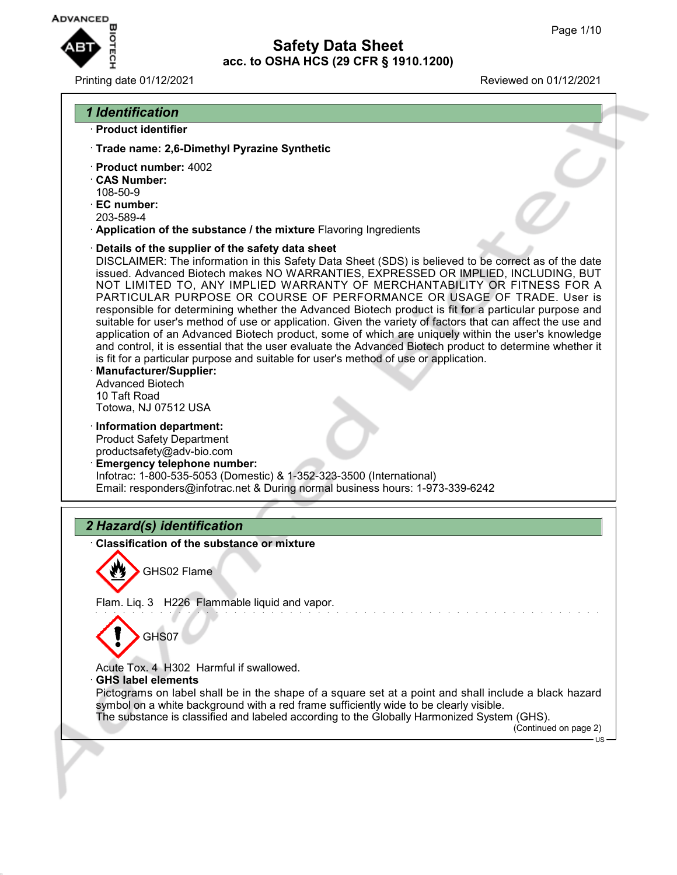

#### Printing date 01/12/2021 Reviewed on 01/12/2021

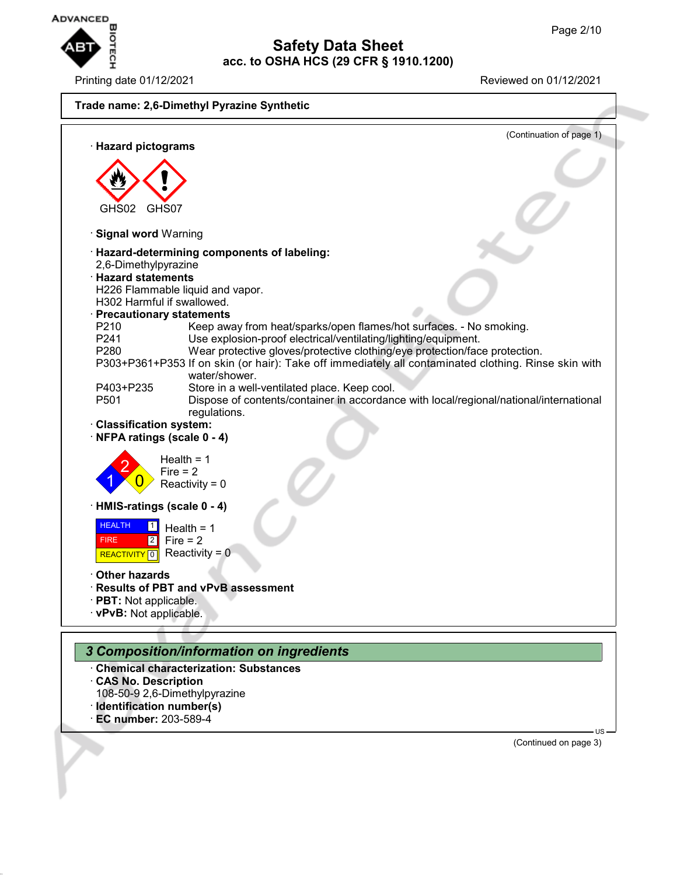

Printing date 01/12/2021 Reviewed on 01/12/2021



**Safety Data Sheet acc. to OSHA HCS (29 CFR § 1910.1200)**

- · **Chemical characterization: Substances**
- · **CAS No. Description**
- 108-50-9 2,6-Dimethylpyrazine
- · **Identification number(s)**
- · **EC number:** 203-589-4

(Continued on page 3)

US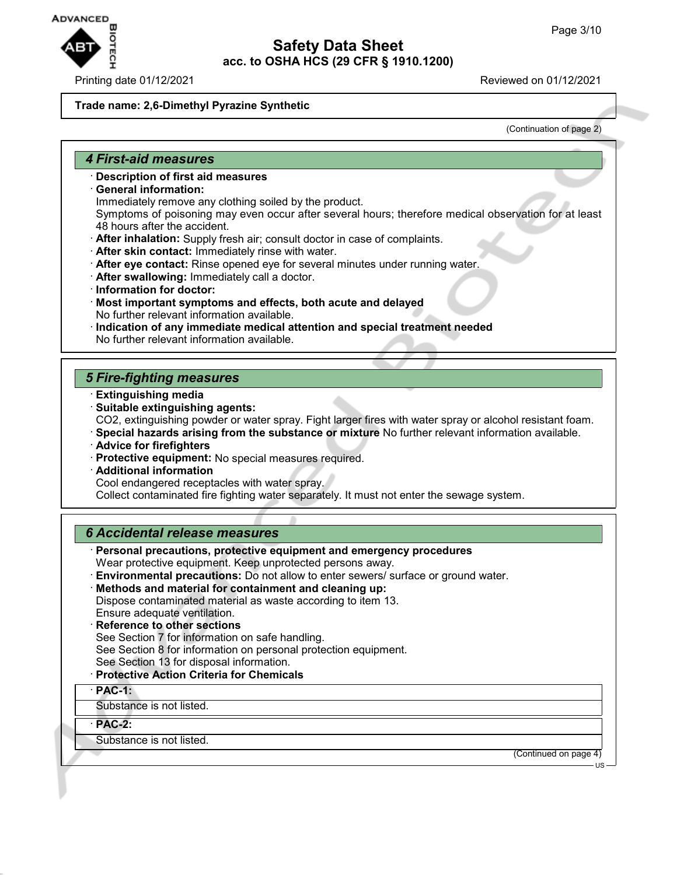

#### Printing date 01/12/2021 Reviewed on 01/12/2021

#### **Trade name: 2,6-Dimethyl Pyrazine Synthetic**

(Continuation of page 2)

#### *4 First-aid measures*

- · **Description of first aid measures**
- · **General information:**
	- Immediately remove any clothing soiled by the product.

Symptoms of poisoning may even occur after several hours; therefore medical observation for at least 48 hours after the accident.

- · **After inhalation:** Supply fresh air; consult doctor in case of complaints.
- · **After skin contact:** Immediately rinse with water.
- · **After eye contact:** Rinse opened eye for several minutes under running water.
- · **After swallowing:** Immediately call a doctor.
- · **Information for doctor:**
- · **Most important symptoms and effects, both acute and delayed** No further relevant information available.
- · **Indication of any immediate medical attention and special treatment needed** No further relevant information available.

#### *5 Fire-fighting measures*

- · **Extinguishing media**
- · **Suitable extinguishing agents:** CO2, extinguishing powder or water spray. Fight larger fires with water spray or alcohol resistant foam.
- · **Special hazards arising from the substance or mixture** No further relevant information available.
- · **Advice for firefighters**
- · **Protective equipment:** No special measures required.
- · **Additional information**

Cool endangered receptacles with water spray.

Collect contaminated fire fighting water separately. It must not enter the sewage system.

#### *6 Accidental release measures*

- · **Personal precautions, protective equipment and emergency procedures** Wear protective equipment. Keep unprotected persons away.
- · **Environmental precautions:** Do not allow to enter sewers/ surface or ground water.
- · **Methods and material for containment and cleaning up:** Dispose contaminated material as waste according to item 13. Ensure adequate ventilation.
- · **Reference to other sections** See Section 7 for information on safe handling. See Section 8 for information on personal protection equipment.
- 
- See Section 13 for disposal information.
- · **Protective Action Criteria for Chemicals**
- · **PAC-1:**

Substance is not listed.

· **PAC-2:**

Substance is not listed.

(Continued on page 4)

US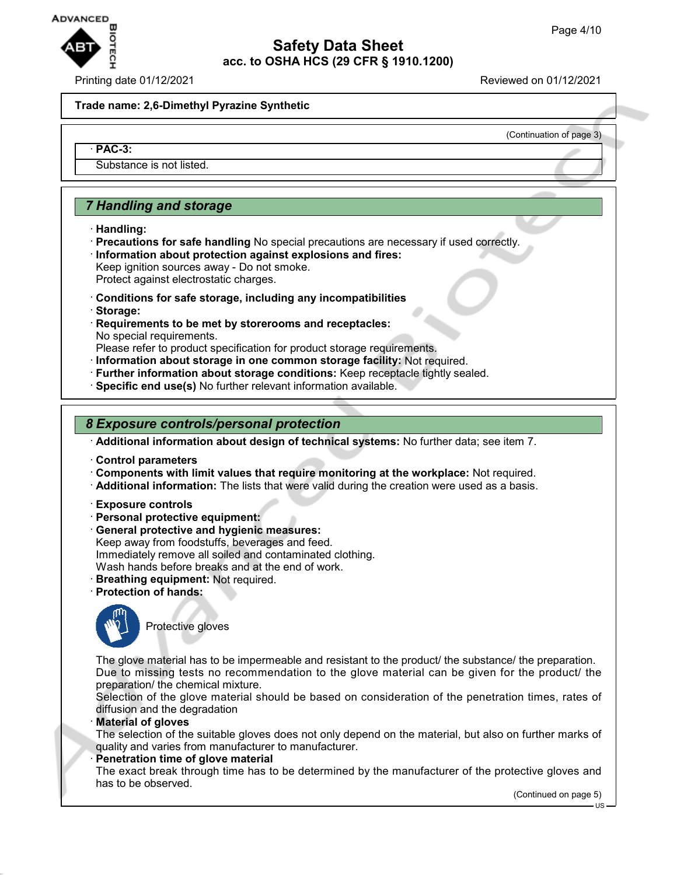

#### Printing date 01/12/2021 Reviewed on 01/12/2021

(Continuation of page 3)

#### **Trade name: 2,6-Dimethyl Pyrazine Synthetic**

#### · **PAC-3:**

Substance is not listed.

# *7 Handling and storage*

- · **Handling:**
- · **Precautions for safe handling** No special precautions are necessary if used correctly. · **Information about protection against explosions and fires:** Keep ignition sources away - Do not smoke.
- Protect against electrostatic charges.
- · **Conditions for safe storage, including any incompatibilities**
- · **Storage:**
- · **Requirements to be met by storerooms and receptacles:** No special requirements.
- Please refer to product specification for product storage requirements.
- · **Information about storage in one common storage facility:** Not required.
- · **Further information about storage conditions:** Keep receptacle tightly sealed.
- · **Specific end use(s)** No further relevant information available.

#### *8 Exposure controls/personal protection*

· **Additional information about design of technical systems:** No further data; see item 7.

- · **Control parameters**
- · **Components with limit values that require monitoring at the workplace:** Not required.
- · **Additional information:** The lists that were valid during the creation were used as a basis.
- · **Exposure controls**
- · **Personal protective equipment:**
- · **General protective and hygienic measures:** Keep away from foodstuffs, beverages and feed. Immediately remove all soiled and contaminated clothing. Wash hands before breaks and at the end of work.
- · **Breathing equipment:** Not required.
- 
- · **Protection of hands:**



Protective gloves

The glove material has to be impermeable and resistant to the product/ the substance/ the preparation. Due to missing tests no recommendation to the glove material can be given for the product/ the preparation/ the chemical mixture.

Selection of the glove material should be based on consideration of the penetration times, rates of diffusion and the degradation

· **Material of gloves**

The selection of the suitable gloves does not only depend on the material, but also on further marks of quality and varies from manufacturer to manufacturer.

**Penetration time of glove material** 

The exact break through time has to be determined by the manufacturer of the protective gloves and has to be observed.

(Continued on page 5)

US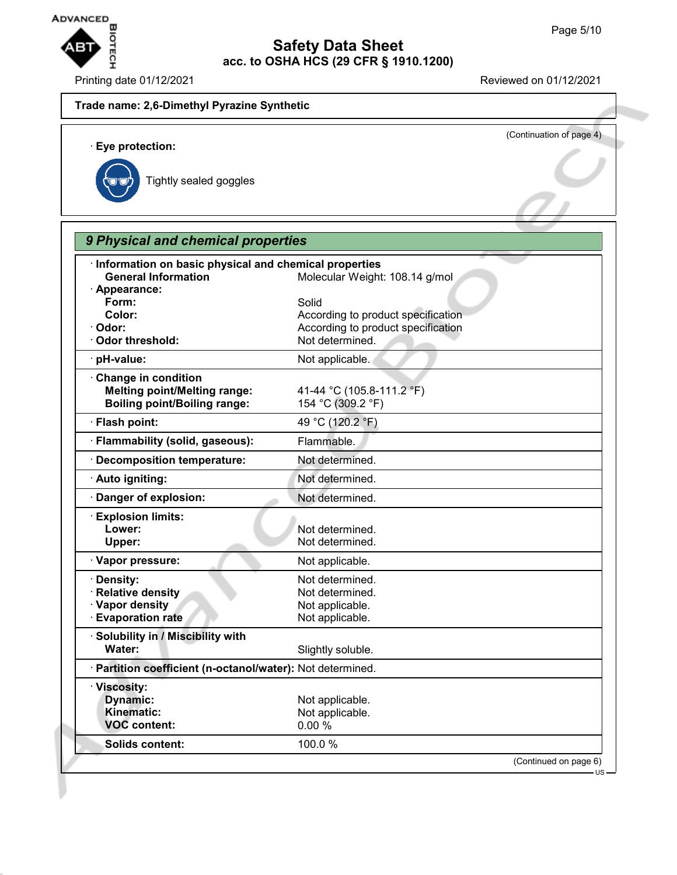

# **Safety Data Sheet acc. to OSHA HCS (29 CFR § 1910.1200) EXEMPTED**<br>
Page 5/10<br>
Printing date 01/12/2021<br>
Printing date 01/12/2021

#### **Trade name: 2,6-Dimethyl Pyrazine Synthetic**

(Continuation of page 4) · **Eye protection:** Tightly sealed goggles

| Information on basic physical and chemical properties      |                                    |
|------------------------------------------------------------|------------------------------------|
| <b>General Information</b>                                 | Molecular Weight: 108.14 g/mol     |
| · Appearance:                                              |                                    |
| Form:                                                      | Solid                              |
| Color:                                                     | According to product specification |
| · Odor:                                                    | According to product specification |
| Odor threshold:                                            | Not determined.                    |
| pH-value:                                                  | Not applicable.                    |
| Change in condition                                        |                                    |
| <b>Melting point/Melting range:</b>                        | 41-44 °C (105.8-111.2 °F)          |
| <b>Boiling point/Boiling range:</b>                        | 154 °C (309.2 °F)                  |
| · Flash point:                                             | 49 °C (120.2 °F)                   |
| · Flammability (solid, gaseous):                           | Flammable.                         |
| Decomposition temperature:                                 | Not determined.                    |
| · Auto igniting:                                           | Not determined.                    |
| Danger of explosion:                                       | Not determined.                    |
| <b>Explosion limits:</b>                                   |                                    |
| Lower:                                                     | Not determined.                    |
| Upper:                                                     | Not determined.                    |
| · Vapor pressure:                                          | Not applicable.                    |
| Density:                                                   | Not determined.                    |
| <b>Relative density</b>                                    | Not determined.                    |
| · Vapor density                                            | Not applicable.                    |
| <b>Evaporation rate</b>                                    | Not applicable.                    |
| Solubility in / Miscibility with                           |                                    |
| Water:                                                     | Slightly soluble.                  |
| · Partition coefficient (n-octanol/water): Not determined. |                                    |
| · Viscosity:                                               |                                    |
| Dynamic:                                                   | Not applicable.                    |
| <b>Kinematic:</b>                                          | Not applicable.                    |
| <b>VOC</b> content:                                        | 0.00%                              |
| Solids content:                                            | 100.0%                             |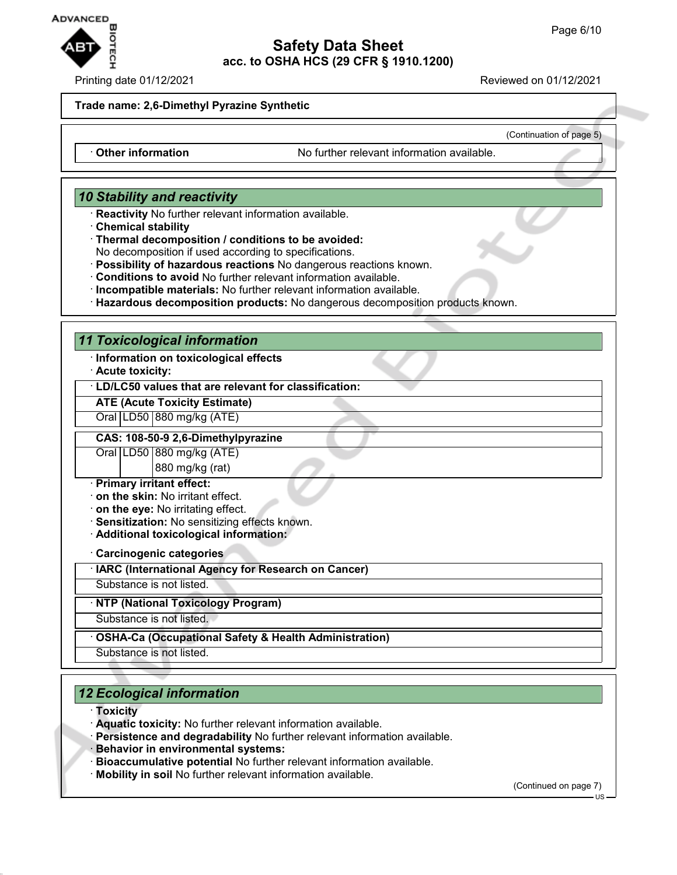

#### Printing date 01/12/2021 **Reviewed on 01/12/2021**

(Continuation of page 5)

#### **Trade name: 2,6-Dimethyl Pyrazine Synthetic**

· **Other information** No further relevant information available.

#### *10 Stability and reactivity*

- · **Reactivity** No further relevant information available.
- · **Chemical stability**
- · **Thermal decomposition / conditions to be avoided:**

No decomposition if used according to specifications.

- · **Possibility of hazardous reactions** No dangerous reactions known.
- · **Conditions to avoid** No further relevant information available.
- · **Incompatible materials:** No further relevant information available.
- · **Hazardous decomposition products:** No dangerous decomposition products known.

#### *11 Toxicological information*

- · **Information on toxicological effects**
- · **Acute toxicity:**

#### · **LD/LC50 values that are relevant for classification:**

### **ATE (Acute Toxicity Estimate)**

Oral | LD50 | 880 mg/kg (ATE)

#### **CAS: 108-50-9 2,6-Dimethylpyrazine**

Oral LD50 880 mg/kg (ATE)

880 mg/kg (rat)

#### · **Primary irritant effect:**

- · **on the skin:** No irritant effect.
- · **on the eye:** No irritating effect.
- · **Sensitization:** No sensitizing effects known.
- · **Additional toxicological information:**

· **Carcinogenic categories**

· **IARC (International Agency for Research on Cancer)**

Substance is not listed.

· **NTP (National Toxicology Program)**

Substance is not listed.

· **OSHA-Ca (Occupational Safety & Health Administration)**

Substance is not listed.

# *12 Ecological information*

#### · **Toxicity**

- · **Aquatic toxicity:** No further relevant information available.
- · **Persistence and degradability** No further relevant information available.
- · **Behavior in environmental systems:**
- · **Bioaccumulative potential** No further relevant information available.
- · **Mobility in soil** No further relevant information available.

(Continued on page 7)

US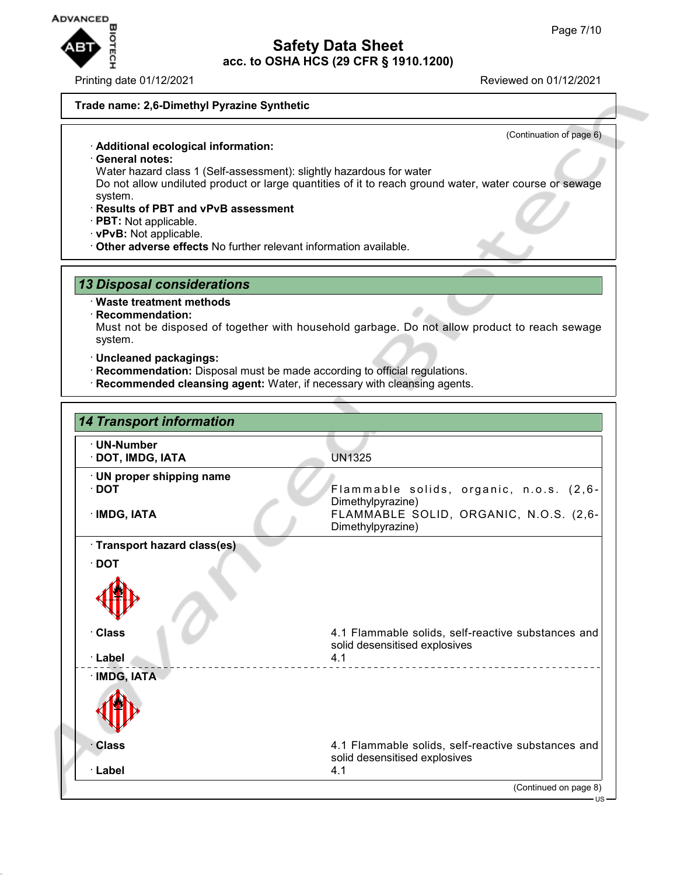

Printing date 01/12/2021 Reviewed on 01/12/2021

(Continuation of page 6)

#### **Trade name: 2,6-Dimethyl Pyrazine Synthetic**

· **Additional ecological information:**

- · **General notes:**
- Water hazard class 1 (Self-assessment): slightly hazardous for water

Do not allow undiluted product or large quantities of it to reach ground water, water course or sewage system.

- · **Results of PBT and vPvB assessment**
- · **PBT:** Not applicable.
- · **vPvB:** Not applicable.
- · **Other adverse effects** No further relevant information available.

#### *13 Disposal considerations*

- · **Waste treatment methods**
- · **Recommendation:**

Must not be disposed of together with household garbage. Do not allow product to reach sewage system.

- · **Uncleaned packagings:**
- · **Recommendation:** Disposal must be made according to official regulations.
- · **Recommended cleansing agent:** Water, if necessary with cleansing agents.

| <b>14 Transport information</b>                          |                                                                                                                             |
|----------------------------------------------------------|-----------------------------------------------------------------------------------------------------------------------------|
| · UN-Number<br>· DOT, IMDG, IATA                         | <b>UN1325</b>                                                                                                               |
| · UN proper shipping name<br>$\cdot$ DOT<br>· IMDG, IATA | Flammable solids, organic, n.o.s. (2,6-<br>Dimethylpyrazine)<br>FLAMMABLE SOLID, ORGANIC, N.O.S. (2,6-<br>Dimethylpyrazine) |
| · Transport hazard class(es)                             |                                                                                                                             |
| $\cdot$ DOT                                              |                                                                                                                             |
| · Class<br>· Label                                       | 4.1 Flammable solids, self-reactive substances and<br>solid desensitised explosives<br>4.1                                  |
| · IMDG, IATA                                             |                                                                                                                             |
|                                                          |                                                                                                                             |
| <b>Class</b>                                             | 4.1 Flammable solids, self-reactive substances and<br>solid desensitised explosives                                         |
| · Label                                                  | 4.1<br>(Continued on page 8)                                                                                                |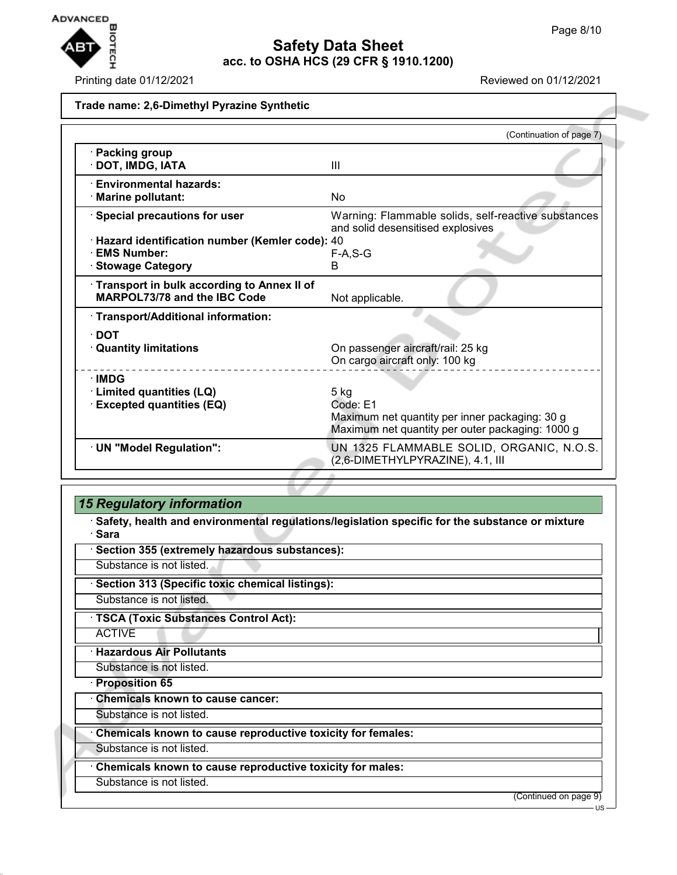

Printing date 01/12/2021 Reviewed on 01/12/2021

#### **Trade name: 2,6-Dimethyl Pyrazine Synthetic**

|                                                                                         | (Continuation of page 7)                                                                                                 |
|-----------------------------------------------------------------------------------------|--------------------------------------------------------------------------------------------------------------------------|
| · Packing group<br>· DOT, IMDG, IATA                                                    | Ш                                                                                                                        |
| · Environmental hazards:<br>· Marine pollutant:                                         | No                                                                                                                       |
| · Special precautions for user                                                          | Warning: Flammable solids, self-reactive substances<br>and solid desensitised explosives                                 |
| · Hazard identification number (Kemler code): 40<br>· EMS Number:<br>· Stowage Category | $F-A, S-G$<br>B                                                                                                          |
| Transport in bulk according to Annex II of<br>MARPOL73/78 and the IBC Code              | Not applicable.                                                                                                          |
| · Transport/Additional information:                                                     |                                                                                                                          |
| $\cdot$ DOT<br><b>Quantity limitations</b>                                              | On passenger aircraft/rail: 25 kg<br>On cargo aircraft only: 100 kg                                                      |
| ∙IMDG<br><b>Limited quantities (LQ)</b><br><b>Excepted quantities (EQ)</b>              | $5$ kg<br>Code: E1<br>Maximum net quantity per inner packaging: 30 g<br>Maximum net quantity per outer packaging: 1000 g |
| · UN "Model Regulation":                                                                | UN 1325 FLAMMABLE SOLID, ORGANIC, N.O.S.<br>(2,6-DIMETHYLPYRAZINE), 4.1, III                                             |

# *15 Regulatory information*

· **Safety, health and environmental regulations/legislation specific for the substance or mixture** · **Sara**

· **Section 355 (extremely hazardous substances):**

Substance is not listed.

· **Section 313 (Specific toxic chemical listings):**

Substance is not listed.

· **TSCA (Toxic Substances Control Act):**

ACTIVE

· **Hazardous Air Pollutants**

Substance is not listed.

· **Proposition 65**

· **Chemicals known to cause cancer:**

Substance is not listed.

· **Chemicals known to cause reproductive toxicity for females:**

Substance is not listed.

· **Chemicals known to cause reproductive toxicity for males:**

Substance is not listed.

(Continued on page 9)

US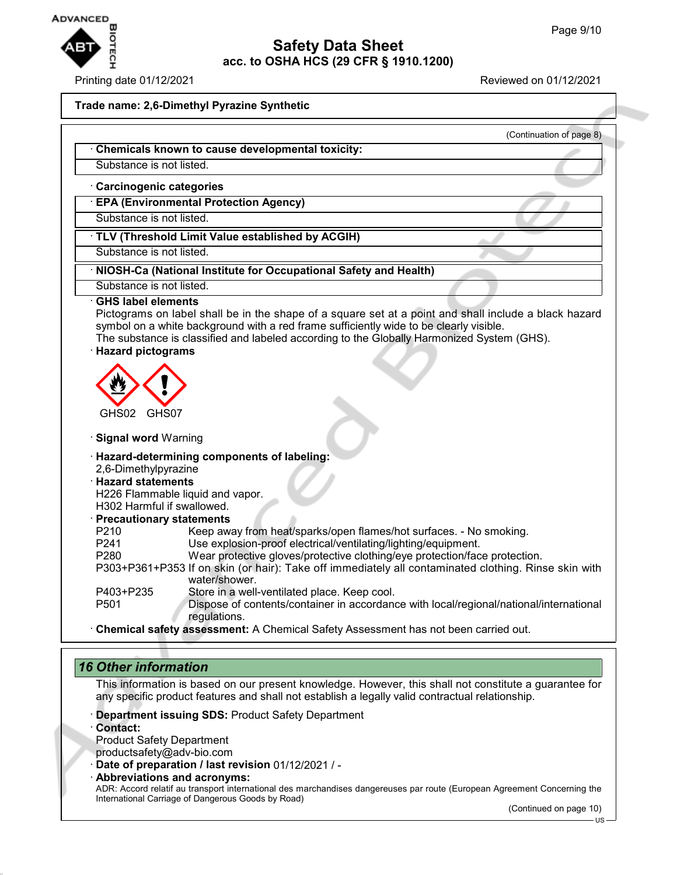

#### Printing date 01/12/2021 Reviewed on 01/12/2021

(Continuation of page 8)

#### **Trade name: 2,6-Dimethyl Pyrazine Synthetic**

#### · **Chemicals known to cause developmental toxicity:**

Substance is not listed.

#### · **Carcinogenic categories**

· **EPA (Environmental Protection Agency)**

Substance is not listed.

# · **TLV (Threshold Limit Value established by ACGIH)**

Substance is not listed.

#### · **NIOSH-Ca (National Institute for Occupational Safety and Health)**

Substance is not listed.

#### · **GHS label elements**

Pictograms on label shall be in the shape of a square set at a point and shall include a black hazard symbol on a white background with a red frame sufficiently wide to be clearly visible.

The substance is classified and labeled according to the Globally Harmonized System (GHS).

#### · **Hazard pictograms**



#### · **Signal word** Warning

#### · **Hazard-determining components of labeling:**

2,6-Dimethylpyrazine

# · **Hazard statements**

H226 Flammable liquid and vapor.

# H302 Harmful if swallowed.

#### · **Precautionary statements**

| P <sub>210</sub> | Keep away from heat/sparks/open flames/hot surfaces. - No smoking.                                                                                                                                                                          |
|------------------|---------------------------------------------------------------------------------------------------------------------------------------------------------------------------------------------------------------------------------------------|
| P <sub>241</sub> | Use explosion-proof electrical/ventilating/lighting/equipment.                                                                                                                                                                              |
| P <sub>280</sub> | Wear protective gloves/protective clothing/eye protection/face protection.                                                                                                                                                                  |
|                  | P303+P361+P353 If on skin (or hair): Take off immediately all contaminated clothing. Rinse skin with                                                                                                                                        |
|                  | water/shower.                                                                                                                                                                                                                               |
| P403+P235        | Store in a well-ventilated place. Keep cool.                                                                                                                                                                                                |
| P <sub>501</sub> | Dispose of contents/container in accordance with local/regional/national/international                                                                                                                                                      |
|                  | regulations.                                                                                                                                                                                                                                |
|                  | All contract and the contract of $\Lambda$ All contract $\Lambda$ of the $\Lambda$ contract of the contract of the contract of the contract of the contract of the contract of the contract of the contract of the contract of the contract |

· **Chemical safety assessment:** A Chemical Safety Assessment has not been carried out.

#### *16 Other information*

This information is based on our present knowledge. However, this shall not constitute a guarantee for any specific product features and shall not establish a legally valid contractual relationship.

- · **Department issuing SDS:** Product Safety Department
- · **Contact:**
- Product Safety Department
- productsafety@adv-bio.com
- · **Date of preparation / last revision** 01/12/2021 / -
- · **Abbreviations and acronyms:**

ADR: Accord relatif au transport international des marchandises dangereuses par route (European Agreement Concerning the International Carriage of Dangerous Goods by Road)

(Continued on page 10)